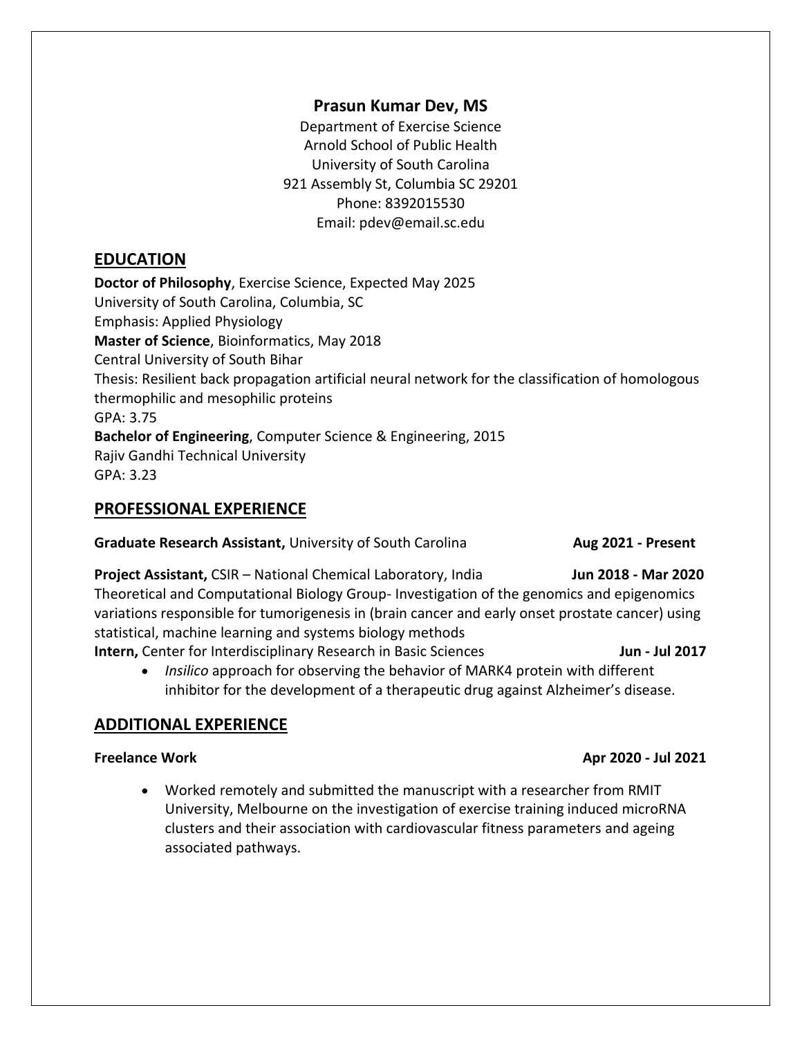## **Prasun Kumar Dev, MS**

Department of Exercise Science Arnold School of Public Health University of South Carolina 921 Assembly St, Columbia SC 29201 Phone: 8392015530 Email: pdev@email.sc.edu

## **EDUCATION**

**Doctor of Philosophy**, Exercise Science, Expected May 2025 University of South Carolina, Columbia, SC Emphasis: Applied Physiology **Master of Science**, Bioinformatics, May 2018 Central University of South Bihar Thesis: Resilient back propagation artificial neural network for the classification of homologous thermophilic and mesophilic proteins GPA: 3.75 **Bachelor of Engineering**, Computer Science & Engineering, 2015 Rajiv Gandhi Technical University GPA: 3.23

### **PROFESSIONAL EXPERIENCE**

**Graduate Research Assistant,** University of South Carolina **Aug 2021 - Present** 

**Project Assistant, CSIR – National Chemical Laboratory, India Jun 2018 - Mar 2020** Theoretical and Computational Biology Group- Investigation of the genomics and epigenomics variations responsible for tumorigenesis in (brain cancer and early onset prostate cancer) using statistical, machine learning and systems biology methods **Intern, Center for Interdisciplinary Research in Basic Sciences <b>Junier 1991 and 1991** Jun - Jul 2017

 *Insilico* approach for observing the behavior of MARK4 protein with different inhibitor for the development of a therapeutic drug against Alzheimer's disease.

## **ADDITIONAL EXPERIENCE**

 Worked remotely and submitted the manuscript with a researcher from RMIT University, Melbourne on the investigation of exercise training induced microRNA clusters and their association with cardiovascular fitness parameters and ageing associated pathways.

#### **Freelance Work Apr 2020 - Jul 2021**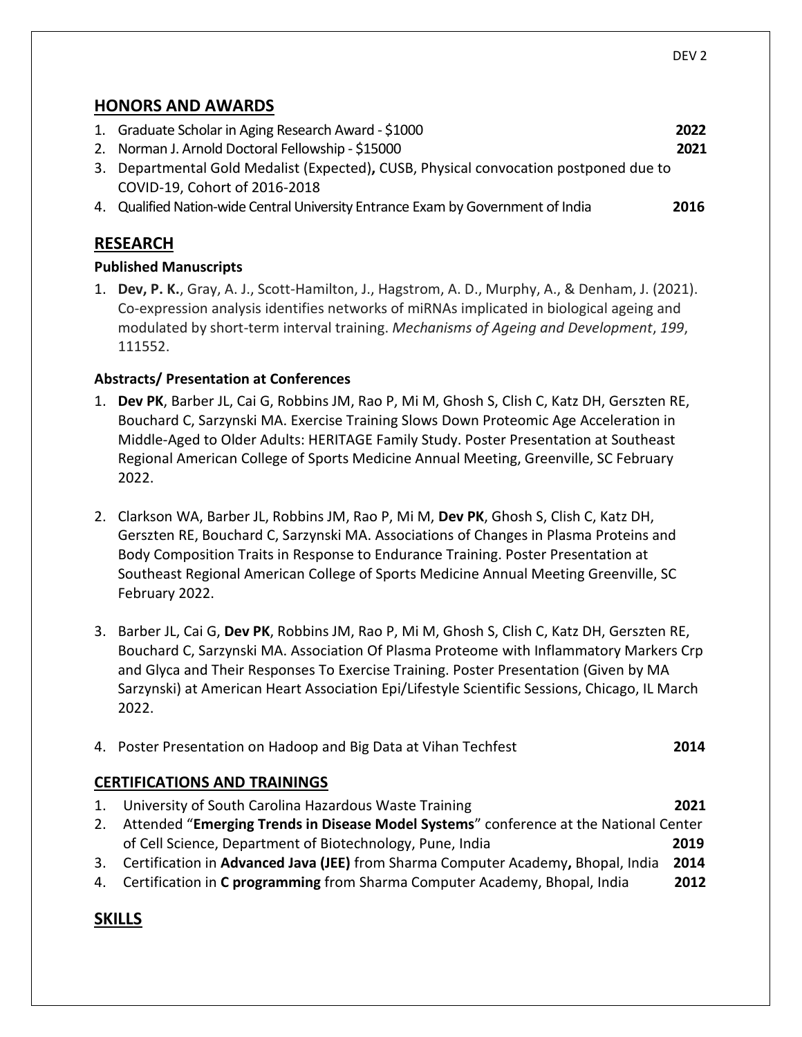## **HONORS AND AWARDS**

|  | 1. Graduate Scholar in Aging Research Award - \$1000                                                              | 2022 |  |  |
|--|-------------------------------------------------------------------------------------------------------------------|------|--|--|
|  | 2. Norman J. Arnold Doctoral Fellowship - \$15000                                                                 | 2021 |  |  |
|  | 3. Departmental Gold Medalist (Expected), CUSB, Physical convocation postponed due to                             |      |  |  |
|  | COVID-19, Cohort of 2016-2018<br>4. Qualified Nation-wide Central University Entrance Exam by Government of India | 2016 |  |  |
|  |                                                                                                                   |      |  |  |
|  |                                                                                                                   |      |  |  |

## **RESEARCH**

#### **Published Manuscripts**

1. **Dev, P. K.**, Gray, A. J., Scott-Hamilton, J., Hagstrom, A. D., Murphy, A., & Denham, J. (2021). Co-expression analysis identifies networks of miRNAs implicated in biological ageing and modulated by short-term interval training. *Mechanisms of Ageing and Development*, *199*, 111552.

#### **Abstracts/ Presentation at Conferences**

- 1. **Dev PK**, Barber JL, Cai G, Robbins JM, Rao P, Mi M, Ghosh S, Clish C, Katz DH, Gerszten RE, Bouchard C, Sarzynski MA. Exercise Training Slows Down Proteomic Age Acceleration in Middle-Aged to Older Adults: HERITAGE Family Study. Poster Presentation at Southeast Regional American College of Sports Medicine Annual Meeting, Greenville, SC February 2022.
- 2. Clarkson WA, Barber JL, Robbins JM, Rao P, Mi M, **Dev PK**, Ghosh S, Clish C, Katz DH, Gerszten RE, Bouchard C, Sarzynski MA. Associations of Changes in Plasma Proteins and Body Composition Traits in Response to Endurance Training. Poster Presentation at Southeast Regional American College of Sports Medicine Annual Meeting Greenville, SC February 2022.
- 3. Barber JL, Cai G, **Dev PK**, Robbins JM, Rao P, Mi M, Ghosh S, Clish C, Katz DH, Gerszten RE, Bouchard C, Sarzynski MA. Association Of Plasma Proteome with Inflammatory Markers Crp and Glyca and Their Responses To Exercise Training. Poster Presentation (Given by MA Sarzynski) at American Heart Association Epi/Lifestyle Scientific Sessions, Chicago, IL March 2022.

| 4. Poster Presentation on Hadoop and Big Data at Vihan Techfest | 2014 |
|-----------------------------------------------------------------|------|
|                                                                 |      |

#### **CERTIFICATIONS AND TRAININGS**

| 1. University of South Carolina Hazardous Waste Training                                 | 2021 |
|------------------------------------------------------------------------------------------|------|
| 2. Attended "Emerging Trends in Disease Model Systems" conference at the National Center |      |
| of Cell Science, Department of Biotechnology, Pune, India                                | 2019 |
| 3. Certification in Advanced Java (JEE) from Sharma Computer Academy, Bhopal, India      | 2014 |
| 4. Certification in C programming from Sharma Computer Academy, Bhopal, India            | 2012 |

## **SKILLS**